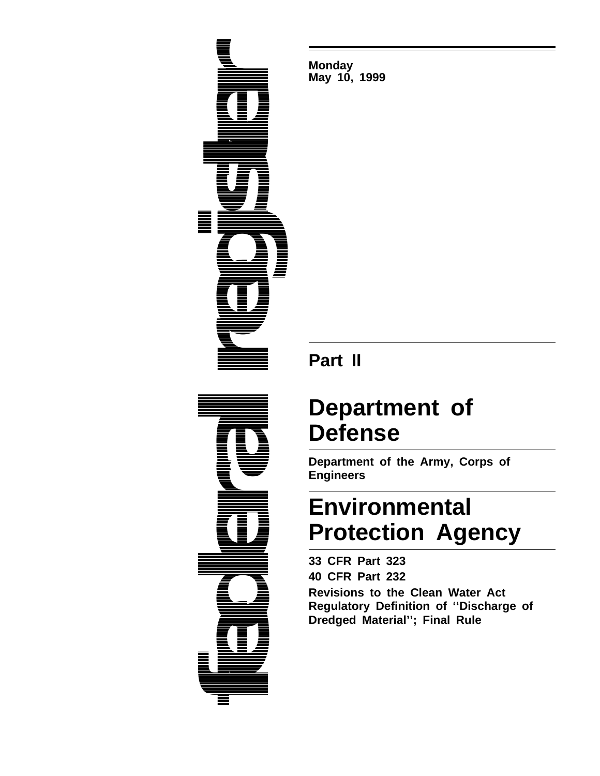

**Monday May 10, 1999**

# **Part II**

# **Department of Defense**

**Department of the Army, Corps of Engineers**

# **Environmental Protection Agency**

**33 CFR Part 323 40 CFR Part 232 Revisions to the Clean Water Act Regulatory Definition of ''Discharge of Dredged Material''; Final Rule**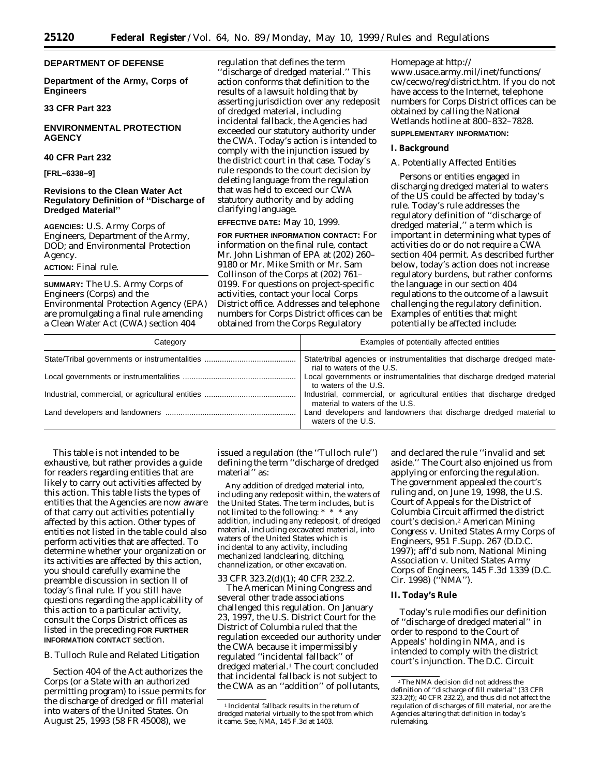# **DEPARTMENT OF DEFENSE**

**Department of the Army, Corps of Engineers**

**33 CFR Part 323**

# **ENVIRONMENTAL PROTECTION AGENCY**

## **40 CFR Part 232**

**[FRL–6338–9]**

# **Revisions to the Clean Water Act Regulatory Definition of ''Discharge of Dredged Material''**

**AGENCIES:** U.S. Army Corps of Engineers, Department of the Army, DOD; and Environmental Protection Agency.

**ACTION:** Final rule.

**SUMMARY:** The U.S. Army Corps of Engineers (Corps) and the Environmental Protection Agency (EPA) are promulgating a final rule amending a Clean Water Act (CWA) section 404

regulation that defines the term 'discharge of dredged material.'' This action conforms that definition to the results of a lawsuit holding that by asserting jurisdiction over any redeposit of dredged material, including incidental fallback, the Agencies had exceeded our statutory authority under the CWA. Today's action is intended to comply with the injunction issued by the district court in that case. Today's rule responds to the court decision by deleting language from the regulation that was held to exceed our CWA statutory authority and by adding clarifying language.

# **EFFECTIVE DATE:** May 10, 1999.

**FOR FURTHER INFORMATION CONTACT:** For information on the final rule, contact Mr. John Lishman of EPA at (202) 260– 9180 or Mr. Mike Smith or Mr. Sam Collinson of the Corps at (202) 761– 0199. For questions on project-specific activities, contact your local Corps District office. Addresses and telephone numbers for Corps District offices can be obtained from the Corps Regulatory

Homepage at http:// www.usace.army.mil/inet/functions/ cw/cecwo/reg/district.htm. If you do not have access to the Internet, telephone numbers for Corps District offices can be obtained by calling the National Wetlands hotline at 800–832–7828.

# **SUPPLEMENTARY INFORMATION:**

#### **I. Background**

# *A. Potentially Affected Entities*

Persons or entities engaged in discharging dredged material to waters of the US could be affected by today's rule. Today's rule addresses the regulatory definition of ''discharge of dredged material,'' a term which is important in determining what types of activities do or do not require a CWA section 404 permit. As described further below, today's action does not increase regulatory burdens, but rather conforms the language in our section 404 regulations to the outcome of a lawsuit challenging the regulatory definition. Examples of entities that might potentially be affected include:

| Category | Examples of potentially affected entities                                                                 |
|----------|-----------------------------------------------------------------------------------------------------------|
|          | State/tribal agencies or instrumentalities that discharge dredged mate-<br>rial to waters of the U.S.     |
|          | Local governments or instrumentalities that discharge dredged material<br>to waters of the U.S.           |
|          | Industrial, commercial, or agricultural entities that discharge dredged<br>material to waters of the U.S. |
|          | Land developers and landowners that discharge dredged material to<br>waters of the U.S.                   |

This table is not intended to be exhaustive, but rather provides a guide for readers regarding entities that are likely to carry out activities affected by this action. This table lists the types of entities that the Agencies are now aware of that carry out activities potentially affected by this action. Other types of entities not listed in the table could also perform activities that are affected. To determine whether your organization or its activities are affected by this action, you should carefully examine the preamble discussion in section II of today's final rule. If you still have questions regarding the applicability of this action to a particular activity, consult the Corps District offices as listed in the preceding **FOR FURTHER INFORMATION CONTACT** section.

# *B. Tulloch Rule and Related Litigation*

Section 404 of the Act authorizes the Corps (or a State with an authorized permitting program) to issue permits for the discharge of dredged or fill material into waters of the United States. On August 25, 1993 (58 FR 45008), we

issued a regulation (the ''Tulloch rule'') defining the term ''discharge of dredged material'' as:

Any addition of dredged material into, including any redeposit within, the waters of the United States. The term includes, but is not limited to the following: \* \* \* any addition, including any redeposit, of dredged material, including excavated material, into waters of the United States which is incidental to any activity, including mechanized landclearing, ditching, channelization, or other excavation.

#### 33 CFR 323.2(d)(1); 40 CFR 232.2.

The American Mining Congress and several other trade associations challenged this regulation. On January 23, 1997, the U.S. District Court for the District of Columbia ruled that the regulation exceeded our authority under the CWA because it impermissibly regulated ''incidental fallback'' of dredged material.<sup>1</sup> The court concluded that incidental fallback is not subject to the CWA as an ''addition'' of pollutants,

and declared the rule ''invalid and set aside.'' The Court also enjoined us from applying or enforcing the regulation. The government appealed the court's ruling and, on June 19, 1998, the U.S. Court of Appeals for the District of Columbia Circuit affirmed the district court's decision.2 *American Mining Congress* v. *United States Army Corps of Engineers,* 951 F.Supp. 267 (D.D.C. 1997); *aff'd sub nom, National Mining Association* v. *United States Army Corps of Engineers,* 145 F.3d 1339 (D.C. Cir. 1998) (''*NMA*'').

## **II. Today's Rule**

Today's rule modifies our definition of ''discharge of dredged material'' in order to respond to the Court of Appeals' holding in *NMA,* and is intended to comply with the district court's injunction. The D.C. Circuit

<sup>1</sup> Incidental fallback results in the return of dredged material virtually to the spot from which it came. *See, NMA,* 145 F.3d at 1403.

<sup>2</sup>The *NMA* decision did not address the definition of ''discharge of fill material'' (33 CFR 323.2(f); 40 CFR 232.2), and thus did not affect the regulation of discharges of fill material, nor are the Agencies altering that definition in today's rulemaking.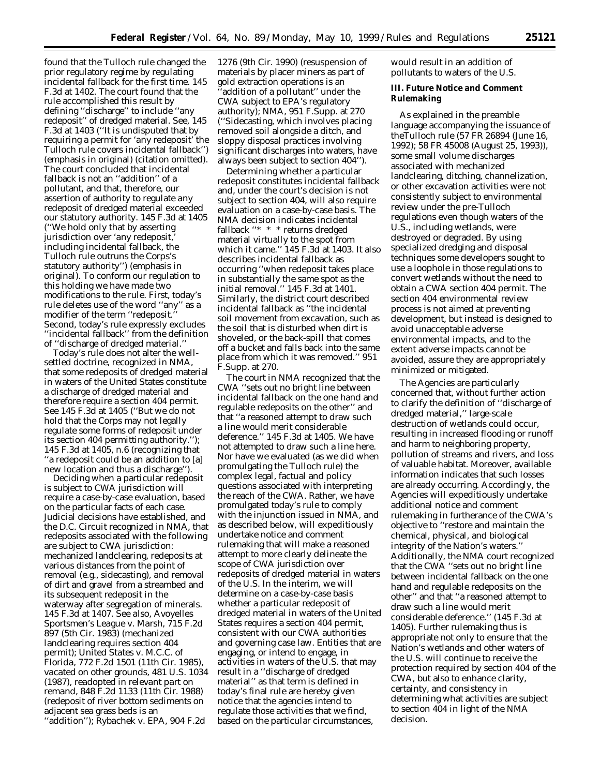found that the Tulloch rule changed the prior regulatory regime by regulating incidental fallback for the first time. 145 F.3d at 1402. The court found that the rule accomplished this result by defining ''discharge'' to include ''any redeposit'' of dredged material. *See,* 145 F.3d at 1403 (''It is undisputed that by requiring a permit for '*any* redeposit' the Tulloch rule covers incidental fallback'') (emphasis in original) (citation omitted). The court concluded that incidental fallback is not an ''addition'' of a pollutant, and that, therefore, our assertion of authority to regulate *any* redeposit of dredged material exceeded our statutory authority. 145 F.3d at 1405 (''We hold only that by asserting jurisdiction over 'any redeposit, including incidental fallback, the Tulloch rule outruns the Corps's statutory authority'') (emphasis in original). To conform our regulation to this holding we have made two modifications to the rule. First, today's rule deletes use of the word ''any'' as a modifier of the term "redeposit. Second, today's rule expressly excludes ''incidental fallback'' from the definition of ''discharge of dredged material.''

Today's rule does not alter the wellsettled doctrine, recognized in *NMA,* that some redeposits of dredged material in waters of the United States constitute a discharge of dredged material and therefore require a section 404 permit. *See* 145 F.3d at 1405 (''But we do not hold that the Corps may not legally regulate some forms of redeposit under its section 404 permitting authority.''); 145 F.3d at 1405, n.6 (recognizing that ''a redeposit could be an addition to [a] new location and thus a discharge'').

Deciding when a particular redeposit is subject to CWA jurisdiction will require a case-by-case evaluation, based on the particular facts of each case. Judicial decisions have established, and the D.C. Circuit recognized in *NMA,* that redeposits associated with the following are subject to CWA jurisdiction: mechanized landclearing, redeposits at various distances from the point of removal (e.g., sidecasting), and removal of dirt and gravel from a streambed and its subsequent redeposit in the waterway after segregation of minerals. 145 F.3d at 1407. *See also, Avoyelles Sportsmen's League* v. *Marsh,* 715 F.2d 897 (5th Cir. 1983) (mechanized landclearing requires section 404 permit); *United States* v. *M.C.C. of Florida,* 772 F.2d 1501 (11th Cir. 1985), *vacated on other grounds,* 481 U.S. 1034 (1987), *readopted in relevant part on remand,* 848 F.2d 1133 (11th Cir. 1988) (redeposit of river bottom sediments on adjacent sea grass beds is an ''addition''); *Rybachek* v. *EPA,* 904 F.2d

1276 (9th Cir. 1990) (resuspension of materials by placer miners as part of gold extraction operations is an 'addition of a pollutant'' under the CWA subject to EPA's regulatory authority); *NMA,* 951 F.Supp. at 270 (''Sidecasting, which involves placing removed soil alongside a ditch, and sloppy disposal practices involving significant discharges into waters, have always been subject to section 404'').

Determining whether a particular redeposit constitutes incidental fallback and, under the court's decision is not subject to section 404, will also require evaluation on a case-by-case basis. The *NMA* decision indicates incidental fallback ''\* \* \* returns dredged material virtually to the spot from which it came.'' 145 F.3d at 1403. It also describes incidental fallback as occurring ''when redeposit takes place in substantially the same spot as the initial removal.'' 145 F.3d at 1401. Similarly, the district court described incidental fallback as ''the incidental soil movement from excavation, such as the soil that is disturbed when dirt is shoveled, or the back-spill that comes off a bucket and falls back into the same place from which it was removed.'' 951 F.Supp. at 270.

The court in *NMA* recognized that the CWA ''sets out no bright line between incidental fallback on the one hand and regulable redeposits on the other'' and that ''a reasoned attempt to draw such a line would merit considerable deference.'' 145 F.3d at 1405. We have not attempted to draw such a line here. Nor have we evaluated (as we did when promulgating the Tulloch rule) the complex legal, factual and policy questions associated with interpreting the reach of the CWA. Rather, we have promulgated today's rule to comply with the injunction issued in *NMA,* and as described below, will expeditiously undertake notice and comment rulemaking that will make a reasoned attempt to more clearly delineate the scope of CWA jurisdiction over redeposits of dredged material in waters of the U.S. In the interim, we will determine on a case-by-case basis whether a particular redeposit of dredged material in waters of the United States requires a section 404 permit, consistent with our CWA authorities and governing case law. Entities that are engaging, or intend to engage, in activities in waters of the U.S. that may result in a ''discharge of dredged material'' as that term is defined in today's final rule are hereby given notice that the agencies intend to regulate those activities that we find, based on the particular circumstances,

would result in an addition of pollutants to waters of the U.S.

# **III. Future Notice and Comment Rulemaking**

As explained in the preamble language accompanying the issuance of theTulloch rule (57 FR 26894 (June 16, 1992); 58 FR 45008 (August 25, 1993)), some small volume discharges associated with mechanized landclearing, ditching, channelization, or other excavation activities were not consistently subject to environmental review under the pre-Tulloch regulations even though waters of the U.S., including wetlands, were destroyed or degraded. By using specialized dredging and disposal techniques some developers sought to use a loophole in those regulations to convert wetlands without the need to obtain a CWA section 404 permit. The section 404 environmental review process is not aimed at preventing development, but instead is designed to avoid unacceptable adverse environmental impacts, and to the extent adverse impacts cannot be avoided, assure they are appropriately minimized or mitigated.

The Agencies are particularly concerned that, without further action to clarify the definition of ''discharge of dredged material,'' large-scale destruction of wetlands could occur, resulting in increased flooding or runoff and harm to neighboring property, pollution of streams and rivers, and loss of valuable habitat. Moreover, available information indicates that such losses are already occurring. Accordingly, the Agencies will expeditiously undertake additional notice and comment rulemaking in furtherance of the CWA's objective to ''restore and maintain the chemical, physical, and biological integrity of the Nation's waters.'' Additionally, the *NMA* court recognized that the CWA ''sets out no bright line between incidental fallback on the one hand and regulable redeposits on the other'' and that ''a reasoned attempt to draw such a line would merit considerable deference.'' (145 F.3d at 1405). Further rulemaking thus is appropriate not only to ensure that the Nation's wetlands and other waters of the U.S. will continue to receive the protection required by section 404 of the CWA, but also to enhance clarity, certainty, and consistency in determining what activities are subject to section 404 in light of the *NMA* decision.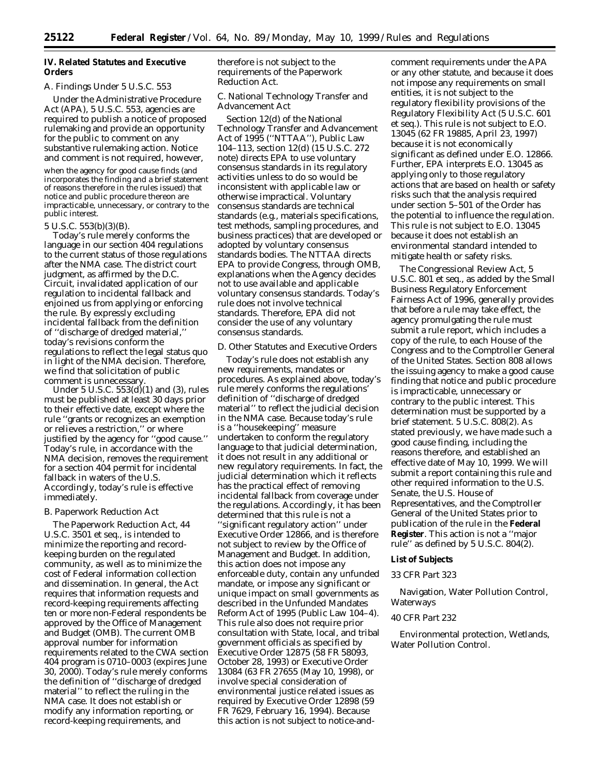# **IV. Related Statutes and Executive Orders**

#### *A. Findings Under 5 U.S.C. 553*

Under the Administrative Procedure Act (APA), 5 U.S.C. 553, agencies are required to publish a notice of proposed rulemaking and provide an opportunity for the public to comment on any substantive rulemaking action. Notice and comment is not required, however,

when the agency for good cause finds (and incorporates the finding and a brief statement of reasons therefore in the rules issued) that notice and public procedure thereon are impracticable, unnecessary, or contrary to the public interest.

#### 5 U.S.C. 553(b)(3)(B).

Today's rule merely conforms the language in our section 404 regulations to the current status of those regulations after the *NMA* case. The district court judgment, as affirmed by the D.C. Circuit, invalidated application of our regulation to incidental fallback and enjoined us from applying or enforcing the rule. By expressly excluding incidental fallback from the definition of ''discharge of dredged material,'' today's revisions conform the regulations to reflect the legal status quo in light of the *NMA* decision. Therefore, we find that solicitation of public comment is unnecessary.

Under 5 U.S.C. 553(d)(1) and (3), rules must be published at least 30 days prior to their effective date, except where the rule ''grants or recognizes an exemption or relieves a restriction,'' or where justified by the agency for ''good cause.'' Today's rule, in accordance with the *NMA* decision, removes the requirement for a section 404 permit for incidental fallback in waters of the U.S. Accordingly, today's rule is effective immediately.

#### *B. Paperwork Reduction Act*

The Paperwork Reduction Act, 44 U.S.C. 3501 *et seq.*, is intended to minimize the reporting and recordkeeping burden on the regulated community, as well as to minimize the cost of Federal information collection and dissemination. In general, the Act requires that information requests and record-keeping requirements affecting ten or more non-Federal respondents be approved by the Office of Management and Budget (OMB). The current OMB approval number for information requirements related to the CWA section 404 program is 0710–0003 (expires June 30, 2000). Today's rule merely conforms the definition of ''discharge of dredged material'' to reflect the ruling in the *NMA* case. It does not establish or modify any information reporting, or record-keeping requirements, and

therefore is not subject to the requirements of the Paperwork Reduction Act.

# *C. National Technology Transfer and Advancement Act*

Section 12(d) of the National Technology Transfer and Advancement Act of 1995 (''NTTAA''), Public Law 104–113, section 12(d) (15 U.S.C. 272 note) directs EPA to use voluntary consensus standards in its regulatory activities unless to do so would be inconsistent with applicable law or otherwise impractical. Voluntary consensus standards are technical standards (e.g., materials specifications, test methods, sampling procedures, and business practices) that are developed or adopted by voluntary consensus standards bodies. The NTTAA directs EPA to provide Congress, through OMB, explanations when the Agency decides not to use available and applicable voluntary consensus standards. Today's rule does not involve technical standards. Therefore, EPA did not consider the use of any voluntary consensus standards.

#### *D. Other Statutes and Executive Orders*

Today's rule does not establish any new requirements, mandates or procedures. As explained above, today's rule merely conforms the regulations' definition of ''discharge of dredged material'' to reflect the judicial decision in the *NMA* case. Because today's rule is a ''housekeeping'' measure undertaken to conform the regulatory language to that judicial determination, it does not result in any additional or new regulatory requirements. In fact, the judicial determination which it reflects has the practical effect of removing incidental fallback from coverage under the regulations. Accordingly, it has been determined that this rule is not a ''significant regulatory action'' under Executive Order 12866, and is therefore not subject to review by the Office of Management and Budget. In addition, this action does not impose any enforceable duty, contain any unfunded mandate, or impose any significant or unique impact on small governments as described in the Unfunded Mandates Reform Act of 1995 (Public Law 104–4). This rule also does not require prior consultation with State, local, and tribal government officials as specified by Executive Order 12875 (58 FR 58093, October 28, 1993) or Executive Order 13084 (63 FR 27655 (May 10, 1998), or involve special consideration of environmental justice related issues as required by Executive Order 12898 (59 FR 7629, February 16, 1994). Because this action is not subject to notice-and-

comment requirements under the APA or any other statute, and because it does not impose any requirements on small entities, it is not subject to the regulatory flexibility provisions of the Regulatory Flexibility Act (5 U.S.C. 601 *et seq.*). This rule is not subject to E.O. 13045 (62 FR 19885, April 23, 1997) because it is not economically significant as defined under E.O. 12866. Further, EPA interprets E.O. 13045 as applying only to those regulatory actions that are based on health or safety risks such that the analysis required under section 5–501 of the Order has the potential to influence the regulation. This rule is not subject to E.O. 13045 because it does not establish an environmental standard intended to mitigate health or safety risks.

The Congressional Review Act, 5 U.S.C. 801 *et seq.*, as added by the Small Business Regulatory Enforcement Fairness Act of 1996, generally provides that before a rule may take effect, the agency promulgating the rule must submit a rule report, which includes a copy of the rule, to each House of the Congress and to the Comptroller General of the United States. Section 808 allows the issuing agency to make a good cause finding that notice and public procedure is impracticable, unnecessary or contrary to the public interest. This determination must be supported by a brief statement. 5 U.S.C. 808(2). As stated previously, we have made such a good cause finding, including the reasons therefore, and established an effective date of May 10, 1999. We will submit a report containing this rule and other required information to the U.S. Senate, the U.S. House of Representatives, and the Comptroller General of the United States prior to publication of the rule in the **Federal Register**. This action is not a ''major rule'' as defined by 5 U.S.C. 804(2).

#### **List of Subjects**

# *33 CFR Part 323*

Navigation, Water Pollution Control, Waterways

#### *40 CFR Part 232*

Environmental protection, Wetlands, Water Pollution Control.